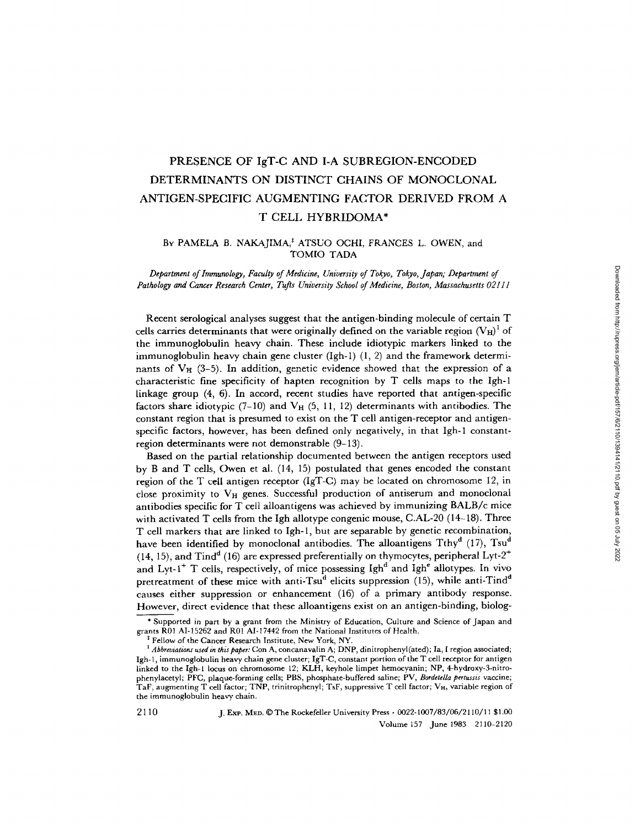# PRESENCE OF IgT-C AND I-A SUBREGION-ENCODED DETERMINANTS ON DISTINCT CHAINS OF MONOCLONAL ANTIGEN-SPECIFIC AUGMENTING FACTOR DERIVED FROM A T CELL HYBRIDOMA\*

# BY PAMELA B. NAKAJIMA,\* ATSUO OCHI, FRANCES L. OWEN, and TOMIO TADA

*Department of Immunology, Faculty of Medicine, University of Tokyo, Tokyo, Japan; Department of Pathology and Cancer Research Center, Tufts University School of Medicine, Boston, Massachusetts 02111* 

Recent serological analyses suggest that the antigen-binding molecule of certain T cells carries determinants that were originally defined on the variable region  $(V_H)^1$  of the immunoglobulin heavy chain. These include idiotypic markers linked to the immunoglobulin heavy chain gene cluster  $(Igh-1)$   $(1, 2)$  and the framework determinants of  $V_H$  (3-5). In addition, genetic evidence showed that the expression of a characteristic fine specificity of hapten recognition by T cells maps to the Igh-1 linkage group  $(4, 6)$ . In accord, recent studies have reported that antigen-specific factors share idiotypic  $(7-10)$  and  $V_H$   $(5, 11, 12)$  determinants with antibodies. The constant region that is presumed to exist on the T cell antigen-receptor and antigenspecific factors, however, has been defined only negatively, in that Igh-1 constantregion determinants were not demonstrable (9-13).

Based on the partial relationship documented between the antigen receptors used by B and T cells, Owen et al. (14, 15) postulated that genes encoded the constant region of the T cell antigen receptor (IgT-C) may be located on chromosome 12, in close proximity to  $V_H$  genes. Successful production of antiserum and monoclonal antibodies specific for T cell alloantigens was achieved by immunizing BALB/c mice with activated T cells from the Igh allotype congenic mouse, C.AL-20 (14-18). Three T cell markers that are linked to Igh-1, but are separable by genetic recombination, have been identified by monoclonal antibodies. The alloantigens Tthy<sup>d</sup> (17), Tsu<sup>d</sup> (14, 15), and Tind<sup>d</sup> (16) are expressed preferentially on thymocytes, peripheral Lyt-2<sup>+</sup> and Lyt-1<sup>+</sup> T cells, respectively, of mice possessing Igh<sup>d</sup> and Igh<sup>e</sup> allotypes. In vivo pretreatment of these mice with anti-Tsu<sup>d</sup> elicits suppression (15), while anti-Tind<sup>d</sup> causes either suppression or enhancement (16) of a primary antibody response. However, direct evidence that these alloantigens exist on an antigen-binding, biolog-

21 10 J. ExP. M~D. ©The Rockefeller University Press • 0022-1007/83/06/2110/11 \$1.00 Volume 157 June 1983 2110-2120

<sup>\*</sup> Supported in part by a grant from the Ministry of Education, Culture and Science of Japan and grants R01 AI-15262 and R01 AI-17442 from the National Institutes of Health.

<sup>&</sup>lt;sup>‡</sup> Fellow of the Cancer Research Institute, New York, NY.

<sup>&</sup>lt;sup>1</sup> Abbreviations used in this paper: Con A, concanavalin A; DNP, dinitrophenyl(ated); Ia, I region associated; Igh-l, immunoglobulin heavy chain gene cluster; IgT-C, constant portion of the T cell receptor for antigen linked to the Igh-I locus on chromosome 12; KLH, keyhole limpet hemocyanin; NP, 4-hydroxy-3-nitrophenylacetyl; PFC, plaque-forming cells; PBS, phosphate-buffered saline; PV, *Bordetella pertussis* vaccine; TaF, augmenting T cell factor; TNP, trinitrophenyl; TsF, suppressive T cell factor; V<sub>H</sub>, variable region of the immunoglobulin heavy chain.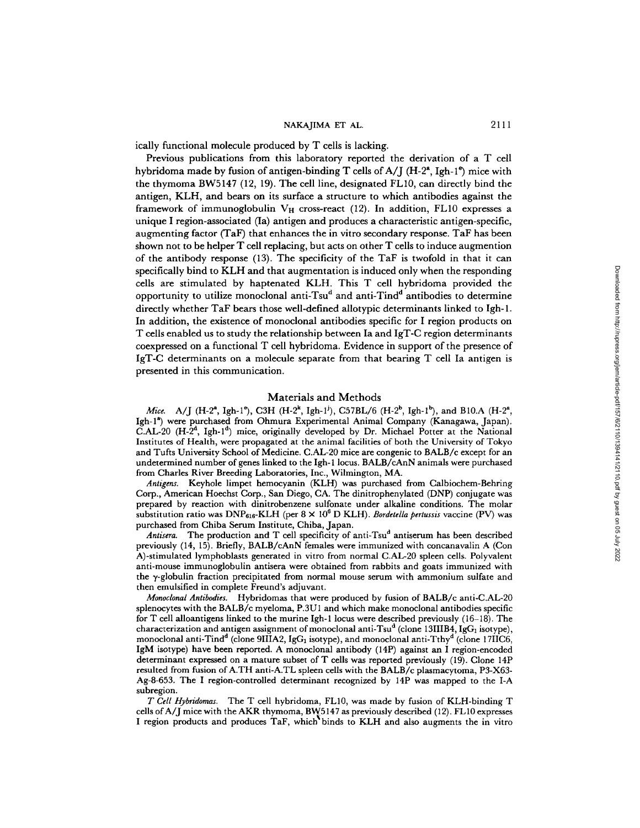ically functional molecule produced by T cells is lacking.

Previous publications from this laboratory reported the derivation of a T cell hybridoma made by fusion of antigen-binding T cells of  $A/I$  (H-2<sup>a</sup>, Igh-1<sup>e</sup>) mice with the thymoma BW5147 (12, 19). The cell line, designated FL10, can directly bind the antigen, KLH, and bears on its surface a structure to which antibodies against the framework of immunoglobulin  $V_H$  cross-react (12). In addition, FL10 expresses a unique I region-associated (Ia) antigen and produces a characteristic antigen-specific, augmenting factor (TaF) that enhances the in vitro secondary response. TaF has been shown not to be helper T cell replacing, but acts on other T cells to induce augmention of the antibody response (13). The specificity of the TaF is twofold in that it can specifically bind to KLH and that augmentation is induced only when the responding cells are stimulated by haptenated KLH. This T cell hybridoma provided the opportunity to utilize monoclonal anti-Tsu<sup>d</sup> and anti-Tind<sup>d</sup> antibodies to determine directly whether TaF bears those well-defined allotypic determinants linked to Igh-1. In addition, the existence of monoclonal antibodies specific for I region products on T cells enabled us to study the relationship between Ia and IgT-C region determinants coexpressed on a functional T cell hybridoma. Evidence in support of the presence of IgT-C determinants on a molecule separate from that bearing T cell Ia antigen is presented in this communication.

#### Materials and Methods

*Mice.* A/J (H-2<sup>a</sup>, Igh-1<sup>e</sup>), C3H (H-2<sup>k</sup>, Igh-1<sup>j</sup>), C57BL/6 (H-2<sup>b</sup>, Igh-1<sup>b</sup>), and B10.A (H-2<sup>a</sup>, Igh-1<sup>a</sup>) were purchased from Ohmura Experimental Animal Company (Kanagawa, Japan).  $\tilde{C}$ .AL-20 (H-2<sup>d</sup>, Igh-1<sup>d</sup>) mice, originally developed by Dr. Michael Potter at the National Institutes of Health, were propagated at the animal facilities of both the University of Tokyo and Tufts University School of Medicine. C.AL-20 mice are congenic to BALB/c except for an undetermined number of genes linked to the Igh- 1 locus. BALB/cAnN animals were purchased from Charles River Breeding Laboratories, Inc., Wilmington, MA.

*Antigens.* Keyhole limpet hemoeyanin (KLH) was purchased from Calbiochem-Behring Corp., American Hoeehst Corp., San Diego, CA. The dinitrophenylated (DNP) conjugate was prepared by reaction with dinitrobenzene sulfonate under alkaline conditions. The molar substitution ratio was  $DNP<sub>616</sub>-K LH$  (per  $8 \times 10^6$  D KLH). *Bordetella pertussis* vaccine (PV) was purchased from Chiba Serum Institute, Chiba, Japan.

Antisera. The production and T cell specificity of anti-Tsu<sup>d</sup> antiserum has been described previously (14, 15). Briefly, BALB/cAnN females were immunized with concanavalin A (Con A)-stimulated lymphoblasts generated in vitro from normal C.AL-20 spleen cells. Polyvalent anti-mouse immunoglobulin antisera were obtained from rabbits and goats immunized with the 3,-globulin fraction precipitated from normal mouse serum with ammonium sulfate and then emulsified in complete Freund's adjuvant.

*Monoclonal Antibodies.* Hybridomas that were produced by fusion of BALB/e anti-C.AL-20 splenocytes with the BALB/c myeloma, P.3U 1 and which make monoclonal antibodies specific for T cell alloantigens linked to the murine Igh-1 locus were described previously (16-18). The characterization and antigen assignment of monoclonal anti-Tsu<sup>d</sup> (clone 13IIIB4, IgG<sub>1</sub> isotype), monoclonal anti-Tind<sup>d</sup> (clone 9IIIA2, IgG<sub>1</sub> isotype), and monoclonal anti-Tthy<sup>d</sup> (clone 17IIC6, IgM isotype) have been reported. A monoclonal antibody (14P) against an I region-encoded determinant expressed on a mature subset of T cells was reported previously (19). Clone 14P resulted from fusion of A.TH anti-A.TL spleen cells with the BALB/c plasmacytoma, P3-X63-Ag-8-653. The I region-controlled determinant recognized by 14P was mapped to the I-A subregion.

*T Cell Hybridomas.* The T cell hybridoma, FL10, was made by fusion of KLH-binding T cells of A/J mice with the AKR thymoma, BW5147 as previously described (12). FL 10 expresses I region products and produces TaF, which binds to KLH and also augments the in vitro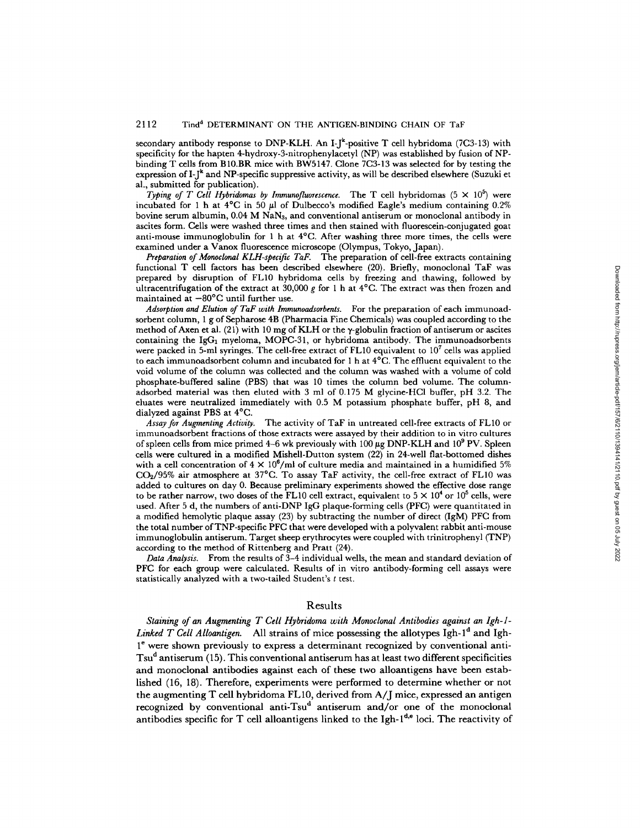secondary antibody response to DNP-KLH. An I-J<sup>k</sup>-positive T cell hybridoma (7C3-13) with specificity for the hapten 4-hydroxy-3-nitrophenylacetyl (NP) was established by fusion of NPbinding T cells from B10.BR mice with BW5147. Clone 7C3-13 was selected for by testing the expression of  $I-f^k$  and NP-specific suppressive activity, as will be described elsewhere (Suzuki et al., submitted for publication).

*Typing of T Cell Hybridomas by Immunofluorescence.* The T cell hybridomas  $(5 \times 10^5)$  were incubated for 1 h at  $4^{\circ}$ C in 50  $\mu$ l of Dulbecco's modified Eagle's medium containing 0.2% bovine serum albumin,  $0.04$  M NaN<sub>3</sub>, and conventional antiserum or monoclonal antibody in ascites form. Cells were washed three times and then stained with fluorescein-conjugated goat anti-mouse immunoglobulin for 1 h at 4°C. After washing three more times, the cells were examined under a Vanox fluorescence microscope (Olympus, Tokyo, Japan).

*Preparation of Monoclonal KLH-specific TaF.* The preparation of cell-free extracts containing functional T cell factors has been described elsewhere (20). Briefly, monoclonal TaF was prepared by disruption of FL10 hybridoma cells by freezing and thawing, followed by ultracentrifugation of the extract at 30,000 g for 1 h at  $4^{\circ}$ C. The extract was then frozen and maintained at  $-80^{\circ}$ C until further use.

*Adsorption and Elution of TaF with Immunoadsorbents.* For the preparation of each immunoadsorbent column, 1 g of Sepharose 4B (Pharmacia Fine Chemicals) was coupled according to the method of Axen et al. (21) with 10 mg of KLH or the  $\gamma$ -globulin fraction of antiserum or ascites containing the IgG<sub>1</sub> myeloma, MOPC-31, or hybridoma antibody. The immunoadsorbents were packed in 5-ml syringes. The cell-free extract of FL10 equivalent to  $10^7$  cells was applied to each immunoadsorbent column and incubated for 1 h at 4°C. The effluent equivalent to the void volume of the column was collected and the column was washed with a volume of cold phosphate-buffered saline (PBS) that was 10 times the column bed volume. The columnadsorbed material was then eluted with 3 ml of 0.175 M glycine-HC1 buffer, pH 3.2. The eluates were neutralized immediately with 0.5 M potassium phosphate buffer, pH 8, and dialyzed against PBS at 4°C.

*Assay for Augmenting Activity.* The activity of TaF in untreated cell-free extracts of FL10 or immunoadsorbent fractions of those extracts were assayed by their addition to in vitro cultures of spleen cells from mice primed 4-6 wk previously with  $100~\mu$ g DNP-KLH and  $10^9$  PV. Spleen cells were cultured in a modified Mishell-Dutton system (22) in 24-well flat-bottomed dishes with a cell concentration of  $4 \times 10^6$ /ml of culture media and maintained in a humidified 5%  $CO<sub>2</sub>/95%$  air atmosphere at 37°C. To assay TaF activity, the cell-free extract of FL10 was added to cultures on day 0. Because preliminary experiments showed the effective dose range to be rather narrow, two doses of the FL10 cell extract, equivalent to  $5 \times 10^4$  or  $10^5$  cells, were used. After 5 d, the numbers of anti-DNP IgG plaque-forming cells (PFC) were quantitated in a modified hemolytic plaque assay  $(23)$  by subtracting the number of direct  $(IgM)$  PFC from the total number ofTNP-specific PFC that were developed with a polyvalent rabbit anti-mouse immunoglobulin antiserum. Target sheep erythrocytes were coupled with trinitrophenyl (TNP) according to the method of Rittenberg and Pratt (24).

*Data Analysis.* From the results of 3-4 individual wells, the mean and standard deviation of PFC for each group were calculated. Results of in vitro antibody-forming cell assays were statistically analyzed with a two-tailed Student's t test.

## Results

*Staining of an Augmenting T Cell Hybridoma with Monoclonal Antibodies against an Igh-1- Linked T Cell Alloantigen.* All strains of mice possessing the allotypes Igh-1<sup>d</sup> and Igh- $1<sup>e</sup>$  were shown previously to express a determinant recognized by conventional anti- $Tsu<sup>d</sup>$  antiserum (15). This conventional antiserum has at least two different specificities and monoclonal antibodies against each of these two alloantigens have been established (16, 18). Therefore, experiments were performed to determine whether or not the augmenting T cell hybridoma FL 10, derived from A/J mice, expressed an antigen recognized by conventional anti-Tsu<sup>d</sup> antiserum and/or one of the monoclonal antibodies specific for T cell alloantigens linked to the Igh- $1^{d,e}$  loci. The reactivity of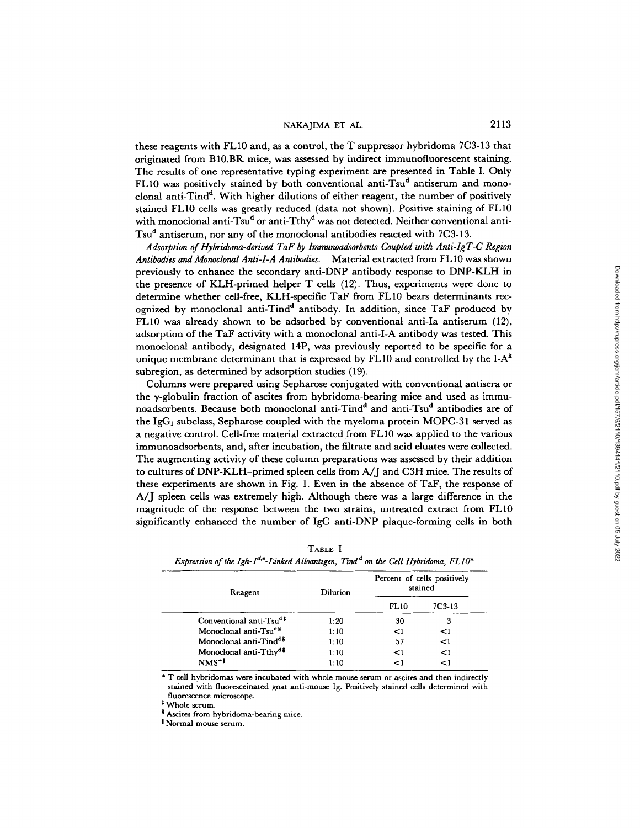these reagents with FL10 and, as a control, the T suppressor hybridoma 7C3-13 that originated from BI0.BR mice, was assessed by indirect immunofluorescent staining. The results of one representative typing experiment are presented in Table I. Only FL10 was positively stained by both conventional anti-Tsu<sup>d</sup> antiserum and monoclonal anti-Tind<sup>d</sup>. With higher dilutions of either reagent, the number of positively stained FLI0 ceils was greatly reduced (data not shown). Positive staining of FL10 with monoclonal anti-Tsu<sup>d</sup> or anti-Tthy<sup>d</sup> was not detected. Neither conventional anti-Tsu<sup>d</sup> antiserum, nor any of the monoclonal antibodies reacted with 7C3-13.

*Adsorption of Hybridoma-derived TaF by Immunoadsorbents Coupled with Anti-Ig T-C Region Antibodies and Monoclonal Anti-I-A Antibodies.* Material extracted from FLI0 was shown previously to enhance the secondary anti-DNP antibody response to DNP-KLH in the presence of KLH-primed helper T cells (12). Thus, experiments were done to determine whether cell-free, KLH-specific TaF from FL10 bears determinants recognized by monoclonal anti-Tind<sup>d</sup> antibody. In addition, since TaF produced by FL10 was already shown to be adsorbed by conventional anti-Ia antiserum (12), adsorption of the TaF activity with a monoclonal anti-I-A antibody was tested. This monoclonal antibody, designated 14P, was previously reported to be specific for a unique membrane determinant that is expressed by FL10 and controlled by the I- $A<sup>k</sup>$ subregion, as determined by adsorption studies (19).

Columns were prepared using Sepharose conjugated with conventional antisera or the  $\gamma$ -globulin fraction of ascites from hybridoma-bearing mice and used as immunoadsorbents. Because both monoclonal anti-Tind<sup>d</sup> and anti-Tsu<sup>d</sup> antibodies are of the IgG<sub>1</sub> subclass, Sepharose coupled with the myeloma protein MOPC-31 served as a negative control. Cell-free material extracted from FL10 was applied to the various immunoadsorbents, and, after incubation, the filtrate and acid eluates were collected. The augmenting activity of these column preparations was assessed by their addition to cultures of DNP-KLH-primed spleen cells from A/J and C3H mice. The results of these experiments are shown in Fig. 1. Even in the absence of TaF, the response of A/J spleen cells was extremely high. Although there was a large difference in the magnitude of the response between the two strains, untreated extract from FL10 significantly enhanced the number of IgG anti-DNP plaque-forming cells in both

| Reagent                             | Dilution | Percent of cells positively<br>stained |          |
|-------------------------------------|----------|----------------------------------------|----------|
|                                     |          | <b>FL10</b>                            | 7C3-13   |
| Conventional anti-Tsu <sup>d‡</sup> | 1:20     | 30                                     | 3        |
| Monoclonal anti-Tsu <sup>d 8</sup>  | 1:10     | $\leq$ 1                               | $\leq$ 1 |
| Monoclonal anti-Tind <sup>d §</sup> | 1:10     | 57                                     | <1       |
| Monoclonal anti-Tthy <sup>d §</sup> | 1:10     | $\leq$ 1                               | $\leq$ 1 |
| $NMS+1$                             | 1:10     | (>                                     |          |

| TABLE I                                                                                              |  |  |  |  |  |
|------------------------------------------------------------------------------------------------------|--|--|--|--|--|
| Expression of the Igh- $I^{d,e}$ -Linked Alloantigen, Tind <sup>d</sup> on the Cell Hybridoma, FL10* |  |  |  |  |  |

\* T cell hybridomas were incubated with whole mouse serum or ascites and then indirectly stained with fluoresceinated goat anti-mouse Ig. Positively stained cells determined with fluorescence microscope.

\* Whole serum.

§ Ascites from hybridoma-bearing mice.

I Normal mouse serum.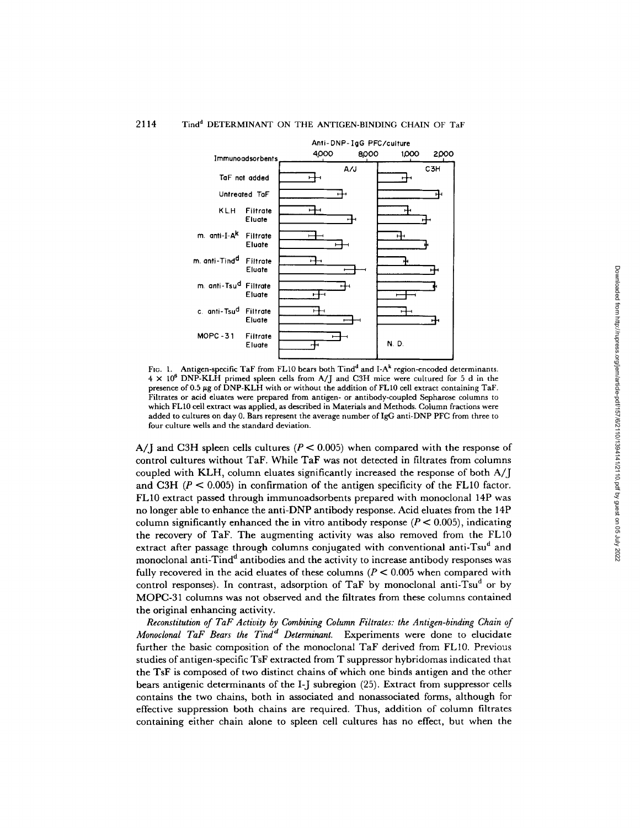#### 2114 Tind<sup>d</sup> DETERMINANT ON THE ANTIGEN-BINDING CHAIN OF TaF



FIG. 1. Antigen-specific TaF from FL10 bears both Tind<sup>d</sup> and I-A<sup>k</sup> region-encoded determinants.  $4 \times 10^6$  DNP-KLH primed spleen cells from A/J and C3H mice were cultured for 5 d in the presence of 0.5  $\mu$ g of DNP-KLH with or without the addition of FL10 cell extract containing TaF. Filtrates or acid eluates were prepared from antigen- or antibody-coupled Sepharose columns to which FL 10 cell extract was applied, as described in Materials and Methods. Column fractions were added to cultures on day 0. Bars represent the average number of IgG anti-DNP PFC from three to four culture wells and the standard deviation.

A/J and C3H spleen cells cultures ( $P < 0.005$ ) when compared with the response of control cultures without TaF. While TaF was not detected in filtrates from columns coupled with KLH, column eluates significantly increased the response of both A/J and C3H ( $P < 0.005$ ) in confirmation of the antigen specificity of the FL10 factor. FL10 extract passed through immunoadsorbents prepared with monoclonal 14P was no longer able to enhance the anti-DNP antibody response. Acid eluates from the 14P column significantly enhanced the in vitro antibody response  $(P < 0.005)$ , indicating the recovery of TaF. The augmenting activity was also removed from the FL10 extract after passage through columns conjugated with conventional anti-Tsu<sup>d</sup> and monoclonal anti-Tind<sup>d</sup> antibodies and the activity to increase antibody responses was fully recovered in the acid eluates of these columns ( $P < 0.005$  when compared with control responses). In contrast, adsorption of TaF by monoclonal anti-Tsu<sup>d</sup> or by MOPC-31 columns was not observed and the filtrates from these columns contained the original enhancing activity.

*Reconstitution of TaF Activity by Combining Column Filtrates: the Antigen-binding Chain of Monoclonal TaF Bears the Tind<sup>d</sup> Determinant.* Experiments were done to elucidate further the basic composition of the monoclonal TaF derived from FL10. Previous studies of antigen-specific TsF extracted from T suppressor hybridomas indicated that the TsF is composed of two distinct chains of which one binds antigen and the other bears antigenic determinants of the I-J subregion (25). Extract from suppressor cells contains the two chains, both in associated and nonassociated forms, although for effective suppression both chains are required. Thus, addition of column filtrates containing either chain alone to spleen cell cultures has no effect, but when the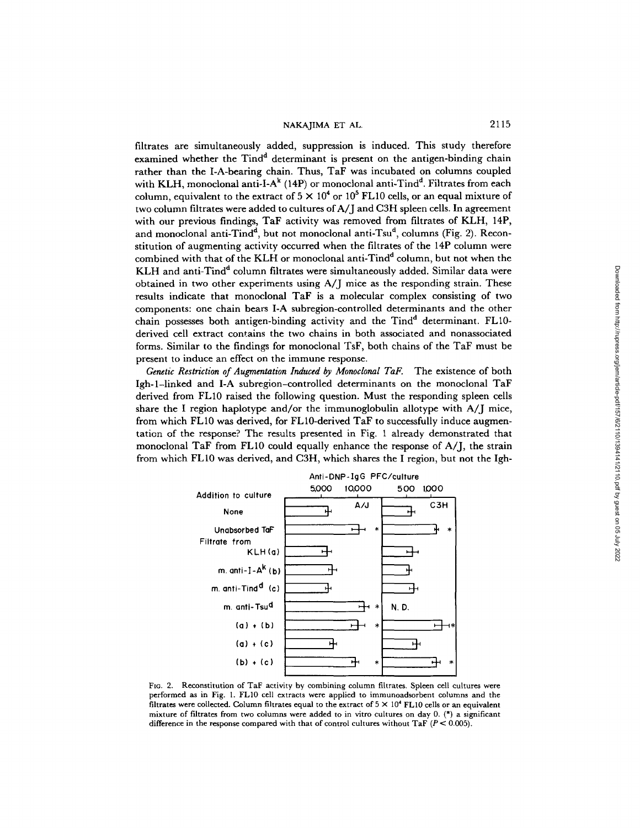filtrates are simultaneously added, suppression is induced. This study therefore examined whether the  $Tind<sup>d</sup>$  determinant is present on the antigen-binding chain rather than the I-A-bearing chain. Thus, TaF was incubated on columns coupled with KLH, monoclonal anti-I-A $^k$  (14P) or monoclonal anti-Tind<sup>d</sup>. Filtrates from each column, equivalent to the extract of  $5 \times 10^4$  or  $10^5$  FL10 cells, or an equal mixture of two column filtrates were added to cultures of A/J and C3H spleen ceils. In agreement with our previous findings, TaF activity was removed from filtrates of KLH, 14P, and monoclonal anti-Tind<sup>d</sup>, but not monoclonal anti-Tsu<sup>d</sup>, columns (Fig. 2). Reconstitution of augmenting activity occurred when the filtrates of the 14P column were combined with that of the KLH or monoclonal anti-Tind<sup>d</sup> column, but not when the KLH and anti-Tind<sup>d</sup> column filtrates were simultaneously added. Similar data were obtained in two other experiments using A/J mice as the responding strain. These results indicate that monoclonal TaF is a molecular complex consisting of two components: one chain bears I-A subregion-controlled determinants and the other chain possesses both antigen-binding activity and the Tind<sup>d</sup> determinant. FL10derived cell extract contains the two chains in both associated and nonassociated forms. Similar to the findings for monoclonal TsF, both chains of the TaF must be present to induce an effect on the immune response.

*Genetic Restriction of Augmentation Induced by Monoclonal TaF.* The existence of both Igh-l-linked and I-A subregion-controlled determinants on the monoclonal TaF derived from FL10 raised the following question. Must the responding spleen cells share the I region haplotype and/or the immunoglobulin allotype with A/J mice, from which FL10 was derived, for FL10-derived TaF to successfully induce augmentation of the response? The results presented in Fig. 1 already demonstrated that monoclonal TaF from FL10 could equally enhance the response of A/J, the strain from which FL10 was derived, and C3H, which shares the I region, but not the Igh-



Ftg. 2. Reconstitution of TaF activity by combining column filtrates. Spleen cell cultures were performed as in Fig. 1. FL10 cell extracts were applied to immunoadsorbent columns and the filtrates were collected. Column filtrates equal to the extract of  $5 \times 10^4$  FL10 cells or an equivalent mixture of filtrates from two columns were added to in vitro cultures on day 0. (\*) a significant difference in the response compared with that of control cultures without TaF  $(P < 0.005)$ .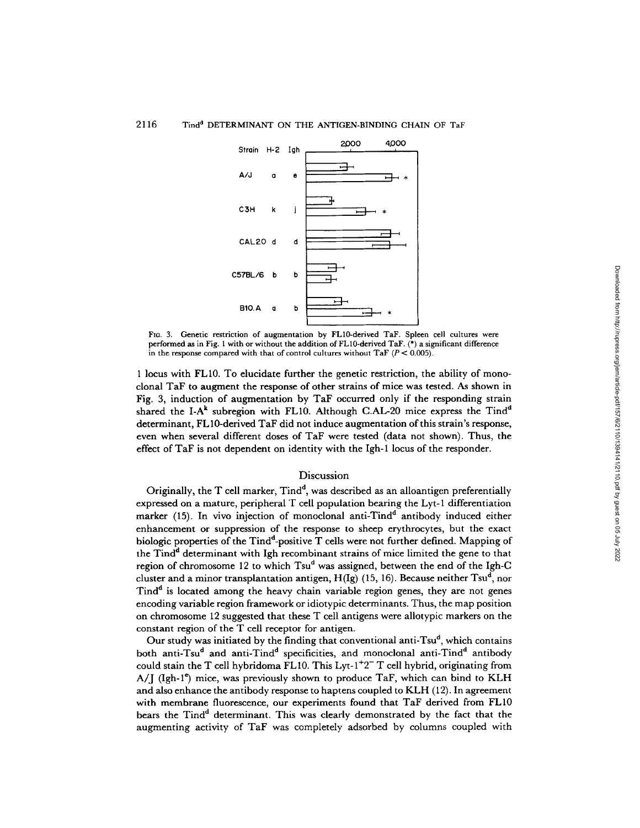

FIG. 3. Genetic restriction of augmentation by FL10-derived TaF. Spleen cell cultures were performed as in Fig. 1 with or without the addition of FL10-derived TaF. (\*) a significant difference in the response compared with that of control cultures without TaF  $(P < 0.005)$ .

1 locus with FL10. To elucidate further the genetic restriction, the ability of monoclonal TaF to augment the response of other strains of mice was tested. As shown in Fig. 3, induction of augmentation by TaF occurred only if the responding strain shared the I-A<sup>k</sup> subregion with FL10. Although C.AL-20 mice express the Tind<sup>d</sup> determinant, FL10-derived TaF did not induce augmentation of this strain's response, even when several different doses of TaF were tested (data not shown). Thus, the effect of TaF is not dependent on identity with the Igh-1 locus of the responder.

#### **Discussion**

Originally, the  $T$  cell marker,  $Tind<sup>d</sup>$ , was described as an alloantigen preferentially expressed on a mature, peripheral T cell population bearing the Lyt-1 differentiation marker  $(15)$ . In vivo injection of monoclonal anti-Tind<sup>d</sup> antibody induced either enhancement or suppression of the response to sheep erythrocytes, but the exact biologic properties of the  $Tind^d$ -positive  $T$  cells were not further defined. Mapping of the Tind<sup>d</sup> determinant with Igh recombinant strains of mice limited the gene to that region of chromosome 12 to which  $Tsu^d$  was assigned, between the end of the Igh-C cluster and a minor transplantation antigen,  $H(Ig)$  (15, 16). Because neither Tsu<sup>d</sup>, nor Tind<sup>d</sup> is located among the heavy chain variable region genes, they are not genes encoding variable region framework or idiotypic determinants. Thus, the map position on chromosome 12 suggested that these T cell antigens were allotypic markers on the constant region of the T cell receptor for antigen.

Our study was initiated by the finding that conventional anti-Tsu<sup>d</sup>, which contains both anti-Tsu<sup>d</sup> and anti-Tind<sup>d</sup> specificities, and monoclonal anti-Tind<sup>d</sup> antibody could stain the T cell hybridoma FL10. This Lyt- $1+2$ <sup>-</sup> T cell hybrid, originating from  $A/I$  (Igh-1<sup>e</sup>) mice, was previously shown to produce TaF, which can bind to KLH and also enhance the antibody response to haptens coupled to KLH (12). In agreement with membrane fluorescence, our experiments found that TaF derived from FL10 bears the Tind<sup>d</sup> determinant. This was clearly demonstrated by the fact that the augmenting activity of TaF was completely adsorbed by columns coupled with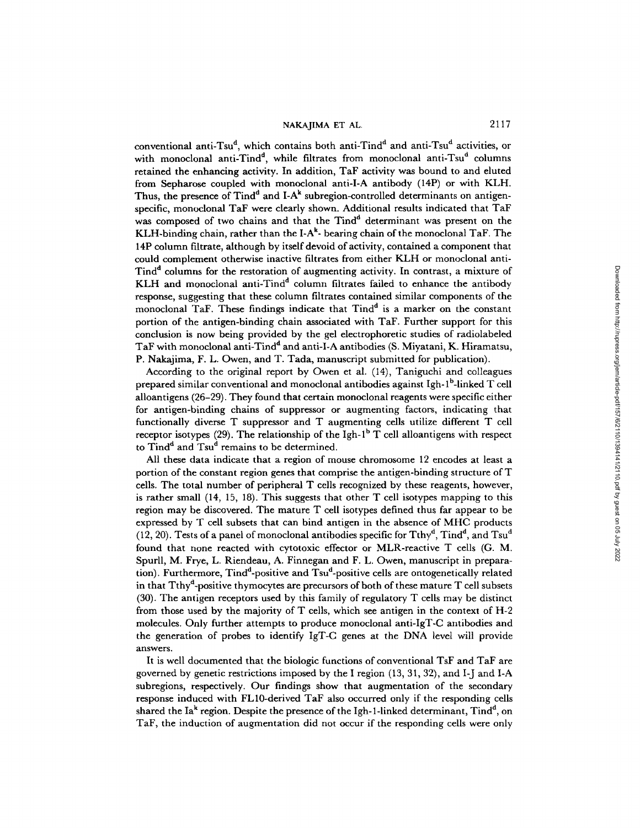conventional anti-Tsu<sup>d</sup>, which contains both anti-Tind<sup>d</sup> and anti-Tsu<sup>d</sup> activities, or with monoclonal anti-Tind<sup>d</sup>, while filtrates from monoclonal anti-Tsu<sup>d</sup> columns retained the enhancing activity. In addition, TaF activity was bound to and eluted from Sepharose coupled with monoclonal anti-I-A antibody (14P) or with KLH. Thus, the presence of  $Tind^d$  and I-A<sup>k</sup> subregion-controlled determinants on antigenspecific, monoclonal TaF were clearly shown. Additional results indicated that TaF was composed of two chains and that the Tind<sup>d</sup> determinant was present on the KLH-binding chain, rather than the I-A<sup>k</sup>- bearing chain of the monoclonal TaF. The 14P column filtrate, although by itself devoid of activity, contained a component that could complement otherwise inactive filtrates from either KLH or monoclonal anti-Tind<sup>d</sup> columns for the restoration of augmenting activity. In contrast, a mixture of KLH and monoclonal anti-Tind<sup>d</sup> column filtrates failed to enhance the antibody response, suggesting that these column filtrates contained similar components of the monoclonal TaF. These findings indicate that  $Tind<sup>d</sup>$  is a marker on the constant portion of the antigen-binding chain associated with TaF. Further support for this conclusion is now being provided by the gel electrophoretic studies of radiolabeled TaF with monoclonal anti-Tind<sup>d</sup> and anti-I-A antibodies (S. Miyatani, K. Hiramatsu, P. Nakajima, F. L. Owen, and T. Tada, manuscript submitted for publication).

According to the original report by Owen et al. (14), Taniguchi and colleagues prepared similar conventional and monoclonal antibodies against Igh- $l^b$ -linked T cell alloantigens (26-29). They found that certain monoclonal reagents were specific either for antigen-binding chains of suppressor or augmenting factors, indicating that functionally diverse T suppressor and T augmenting cells utilize different T cell receptor isotypes (29). The relationship of the Igh-1<sup>b</sup> T cell alloantigens with respect to Tind<sup>d</sup> and Tsu<sup>d</sup> remains to be determined.

All these data indicate that a region of mouse chromosome 12 encodes at least a portion of the constant region genes that comprise the antigen-binding structure of T cells. The total number of peripheral T cells recognized by these reagents, however, is rather small (14, 15, 18). This suggests that other T cell isotypes mapping to this region may be discovered. The mature T cell isotypes defined thus far appear to be expressed by T cell subsets that can bind antigen in the absence of MHC products (12, 20). Tests of a panel of monoclonal antibodies specific for Tthy<sup>d</sup>, Tind<sup>d</sup>, and Tsu<sup>d</sup> found that none reacted with cytotoxic effector or MLR-reactive T ceils (G. M. Spurll, M. Frye, L. Riendeau, A. Finnegan and F. L. Owen, manuscript in preparation). Furthermore, Tind<sup>d</sup>-positive and Tsu<sup>d</sup>-positive cells are ontogenetically related in that Tthy<sup>d</sup>-positive thymocytes are precursors of both of these mature  $T$  cell subsets (30). The antigen receptors used by this family of regulatory T cells may be distinct from those used by the majority of T cells, which see antigen in the context of H-2 molecules. Only further attempts to produce monoclonal anti-IgT-C antibodies and the generation of probes to identify IgT-C genes at the DNA level will provide answers.

It is well documented that the biologic functions of conventional TsF and TaF are governed by genetic restrictions imposed by the I region (13, 31, 32), and I-J and I-A subregions, respectively. Our findings show that augmentation of the secondary response induced with FL10-derived TaF also occurred only if the responding cells shared the Ia<sup>k</sup> region. Despite the presence of the Igh-1-linked determinant,  $Tind<sup>d</sup>$ , on TaF, the induction of augmentation did not occur if the responding ceils were only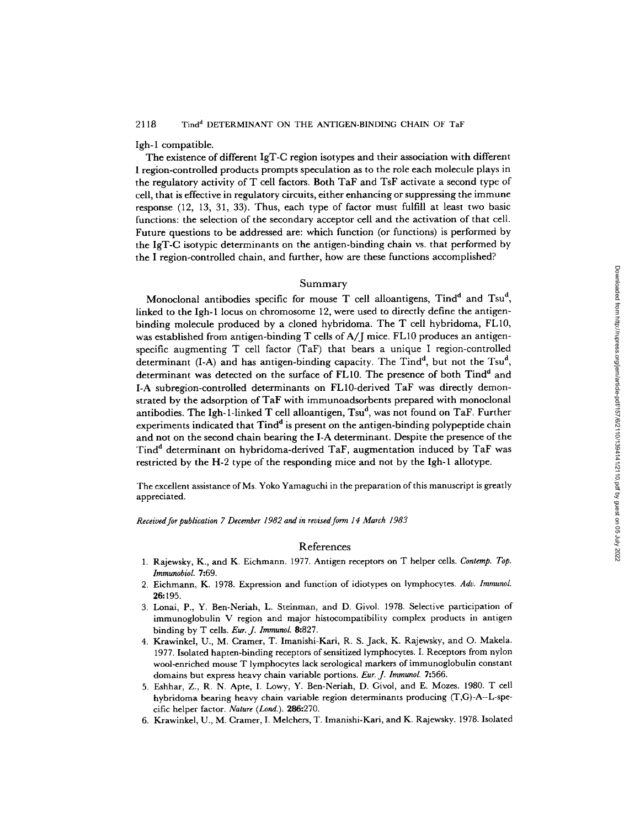Igh-1 compatible.

The existence of different IgT-C region isotypes and their association with different I region-controlled products prompts speculation as to the role each molecule plays in the regulatory activity of T cell factors. Both TaF and TsF activate a second type of cell, that is effective in regulatory circuits, either enhancing or suppressing the immune response (12, 13, 31, 33). Thus, each type of factor must fulfill at least two basic functions: the selection of the secondary acceptor cell and the activation of that cell. Future questions to be addressed are: which function (or functions) is performed by the IgT-C isotypic determinants on the antigen-binding chain vs. that performed by the I region-controlled chain, and further, how are these functions accomplished?

#### Summary

Monoclonal antibodies specific for mouse T cell alloantigens,  $Tind<sup>d</sup>$  and  $Tsu<sup>d</sup>$ , linked to the Igh-1 locus on chromosome 12, were used to directly define the antigenbinding molecule produced by a cloned hybridoma. The T cell hybridoma, FL10, was established from antigen-binding T cells of A/J mice. FL10 produces an antigenspecific augmenting T cell factor (TaF) that bears a unique I region-controlled determinant (I-A) and has antigen-binding capacity. The Tind<sup>d</sup>, but not the Tsu<sup>d</sup>, determinant was detected on the surface of FL10. The presence of both Tind<sup>d</sup> and I-A subregion-controlled determinants on FL10-derived TaF was directly demonstrated by the adsorption of TaF with immunoadsorbents prepared with monoclonal antibodies. The Igh-1-linked T cell alloantigen,  $Tsu^d$ , was not found on TaF. Further experiments indicated that  $Tind<sup>d</sup>$  is present on the antigen-binding polypeptide chain and not on the second chain bearing the I-A determinant. Despite the presence of the Tind<sup>d</sup> determinant on hybridoma-derived TaF, augmentation induced by TaF was restricted by the H-2 type of the responding mice and not by the Igh-1 allotype.

The excellent assistance of Ms. Yoko Yamaguchi in the preparation of this manuscript is greatly appreciated.

*Received for publication 7 December 1982 and in revised form 14 March 1983* 

#### References

- 1. Rajewsky, K., and K. Eichmann. 1977. Antigen receptors on T helper cells. *Contemp. Top. lmmunobioL* 7:69.
- 2. Eichmann, K. 1978. Expression and function of idiotypes on lymphocytes. *Adv. ImmunoL*  **26:195.**
- 3. Lonai, P., Y. Ben-Neriah, L. Steinman, and D. Givol. 1978. Selective participation of immunoglobulin V region and major histocompatibility complex products in antigen binding by T cells. *Eur. J. ImmunoL* 8:827.
- 4. Krawinkel, U., M. Cramer, T. Imanishi-Kari, R. S. Jack, K. Rajewsky, and O. Makela. 1977. Isolated hapten-binding receptors of sensitized lymphocytes. I. Receptors from nylon wool-enriched mouse T lymphocytes lack serological markers of immunoglobulin constant domains but express heavy chain variable portions. *Eur. J. ImmunoL* 7:566.
- 5. Eshhar, Z., R. N. Apte, I. Lowy, Y. Ben-Neriah, D. Givol, and E. Mozes. 1980. T cell hybridoma bearing heavy chain variable region determinants producing (T,G)-A--L-specific helper factor. *Nature (Lord.).* 286:270.
- 6. Krawinkel, U., M. Cramer, I. Melchers, T. Imanishi-Kari, and K. Rajewsky. 1978. Isolated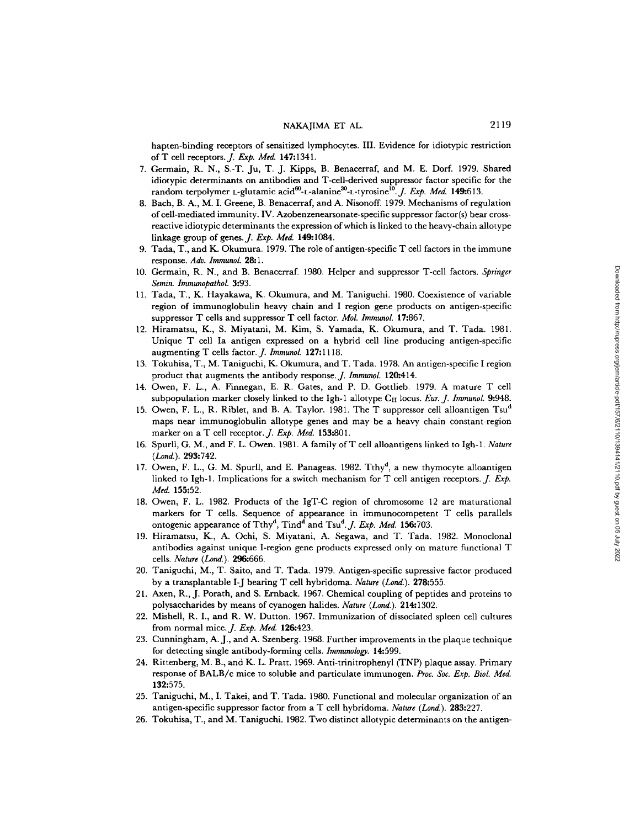hapten-binding receptors of sensitized lymphocytes. III. Evidence for idiotypic restriction ofT cell receptors.J. *Exp. Med.* 147:1341.

- 7. Germain, R. N., S.-T. Ju, T. J. Kipps, B. Benacerraf, and M. E. Dorf. 1979. Shared idiotypic determinants on antibodies and T-cell-derived suppressor factor specific for the random terpolymer L-glutamic acid<sup>60</sup>-L-alanine<sup>30</sup>-L-tyrosine<sup>10</sup>. *J. Exp. Med.* **149:**613.
- 8. Bach, B. A., M. I. Greene, B. Benacerraf, and A. Nisonoff. 1979. Mechanisms of regulation of cell-mediated immunity. IV. Azobenzenearsonate-specific suppressor factor(s) bear crossreactive idiotypic determinants the expression of which is linked to the heavy-chain allotype linkage group of genes.J. *Exp. Med.* 149:1084.
- 9. Tada, T,, and K. Okumura. 1979. The role of antigen-specific T cell factors in the immune response. *Adv. lmmunol.* 28:1.
- 10. Germain, R. N., and B. Benacerraf. 1980. Helper and suppressor T-cell factors. *Springer Semin. lmmunopathol.* 3:93.
- 11. Tada, T., K. Hayakawa, K. Okumura, and M. Taniguchi. 1980. Coexistence of variable region of immunoglobulin heavy chain and I region gene products on antigen-specific suppressor T cells and suppressor T cell factor. *Mol. Immunol.* 17:867.
- 12. Hiramatsu, K., S. Miyatani, M. Kim, S. Yamada, K. Okumura, and T. Tada. 1981. Unique T cell Ia antigen expressed on a hybrid cell line producing antigen-specific augmenting T cells factor.,]. *Immunol.* 127:1118.
- 13. Tokuhisa, T., M. Taniguchi, K. Okumura, and T. Tada. 1978. An antigen-specific I region product that augments the antibody response. *J. Immunol.* 120:414.
- 14. Owen, F. L., A. Finnegan, E. R. Gates, and P. D. Gottlieb. 1979. A mature T cell subpopulation marker closely linked to the Igh-1 allotype  $C_H$  locus. *Eur. J. Immunol.* 9:948.
- 15. Owen, F. L., R. Riblet, and B. A. Taylor. 1981. The T suppressor cell alloantigen Tsu<sup>d</sup> maps near immunoglobulin allotype genes and may be a heavy chain constant-region marker on a T cell receptor. *J. Exp. Med.* 153:801.
- 16. Spurll, G. M., and F. L. Owen. 1981. A family ofT cell alloantigens linked to Igh-1. *Nature (Lond.).* 293:742.
- 17. Owen, F. L., G. M. Spurll, and E. Panageas. 1982. Tthy<sup>d</sup>, a new thymocyte alloantigen linked to Igh-1. Implications for a switch mechanism for T cell antigen receptors. *J. Exp. Med.* 155:52.
- 18. Owen, F. L. 1982. Products of the IgT-C region of chromosome 12 are maturational markers for T cells. Sequence of appearance in immunocompetent T cells parallels ontogenic appearance of Tthy<sup>d</sup>, Tind<sup>d</sup> and Tsu<sup>d</sup>. *J. Exp. Med.* 156:703.
- 19. Hiramatsu, K., A. Ochi, S. Miyatani, A. Segawa, and T. Tada. 1982. Monoclonal antibodies against unique I-region gene products expressed only on mature functional T cells. *Nature* (Lond.). 296:666.
- 20. Taniguchi, M., T. Saito, and T. Tada. 1979. Antigen-specific supressive factor produced by a transplantable I-J bearing T cell hybridoma. *Nature (Lond.).* 278:555.
- 21. Axen, R., J. Porath, and S. Ernback. 1967. Chemical coupling of peptides and proteins to polysaccharides by means of cyanogen halides. *Nature (Lond.).* 214:1302.
- 22. Mishell, R. I., and R. W. Dutton. 1967. Immunization of dissociated spleen cell cultures from normal mice.J. *Exp. Med.* 126:423.
- 23. Cunningham, A. J., and A. Szenberg. 1968. Further improvements in the plaque technique for detecting single antibody-forming cells. *Immunology.* 14:599.
- 24. Rittenberg, M. B., and K. L. Pratt. 1969. Anti-trinitrophenyl (TNP) plaque assay. Primary response of BALB/c mice to soluble and particulate immunogen. *Proc. Soc. Exp. Biol. Med.*  132:575.
- 25. Taniguchi, M., I. Takei, and T. Tada. 1980. Functional and molecular organization of an antigen-specific suppressor factor from a T cell hybridoma. *Nature (Lond.).* 283:227.
- 26. Tokuhisa, T., and M. Taniguchi. 1982. Two distinct allotypic determinants on the antigen-